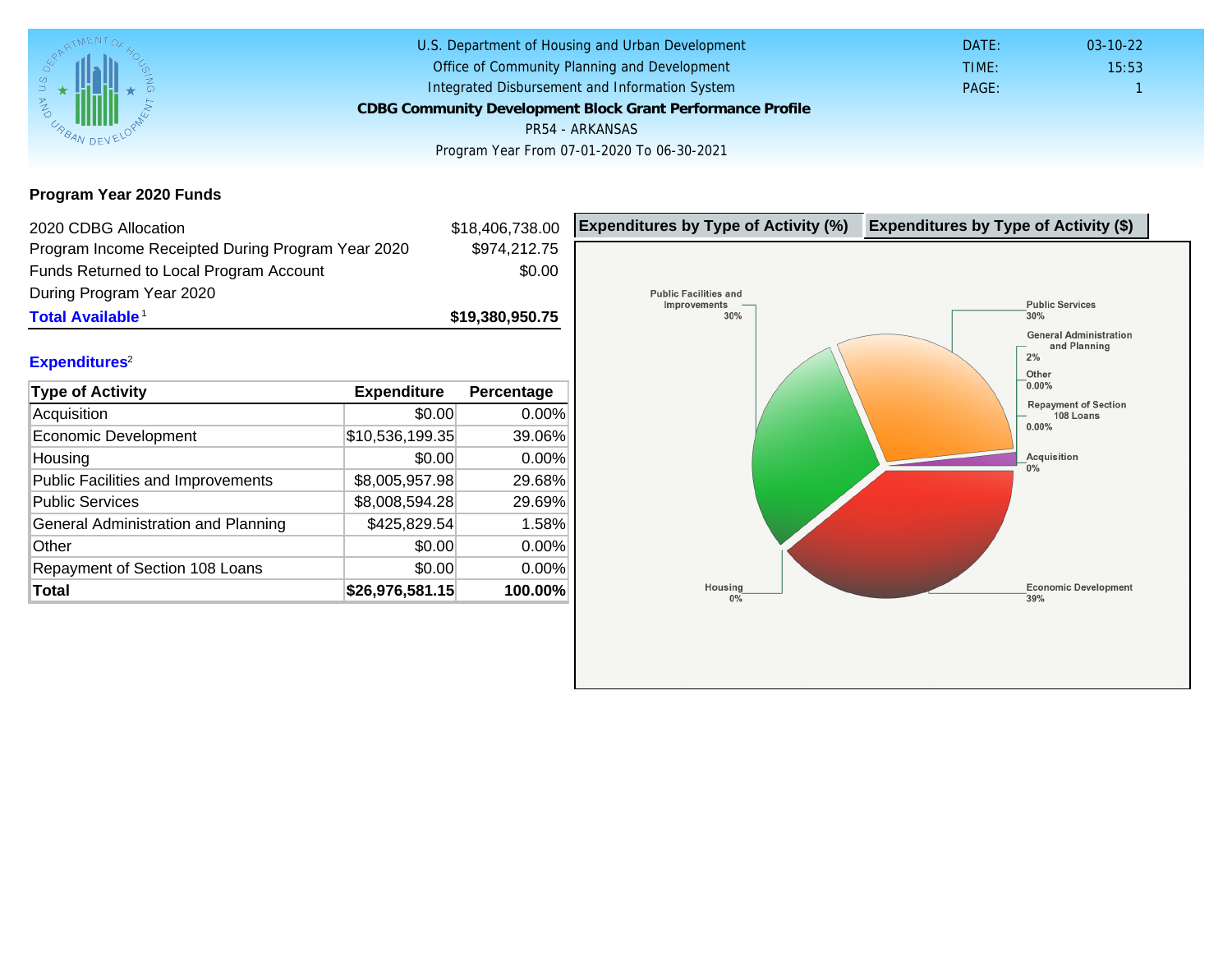Program Year 2020 Funds

| 2020 CDBG Allocation                              |                 | \$18,406,738.00 | Expenditures by Type of Activity (%) | Expenditure |
|---------------------------------------------------|-----------------|-----------------|--------------------------------------|-------------|
| Program Income Receipted During Program Year 2020 |                 | \$974,212.75    |                                      |             |
| Funds Returned to Local Program Account           |                 | \$0.00          |                                      |             |
| During Program Year 2020                          |                 |                 |                                      |             |
| Total Available <sup>1</sup>                      |                 | \$19,380,950.75 |                                      |             |
|                                                   |                 |                 |                                      |             |
| Expenditures <sup>2</sup>                         |                 |                 |                                      |             |
| Type of Activity                                  | Expenditure     | Percentage      |                                      |             |
| Acquisition                                       | \$0.00          | 0.00%           |                                      |             |
| <b>Economic Development</b>                       | \$10,536,199.35 | 39.06%          |                                      |             |
| Housing                                           | \$0.00          | 0.00%           |                                      |             |
| <b>Public Facilities and Improvements</b>         | \$8,005,957.98  | 29.68%          |                                      |             |
| <b>Public Services</b>                            | \$8,008,594.28  | 29.69%          |                                      |             |
| General Administration and Planning               | \$425,829.54    | 1.58%           |                                      |             |
| Other                                             | \$0.00          | 0.00%           |                                      |             |
| Repayment of Section 108 Loans                    | \$0.00          | 0.00%           |                                      |             |
| Total                                             | \$26,976,581.15 | 100.00%         |                                      |             |
|                                                   |                 |                 |                                      |             |
|                                                   |                 |                 |                                      |             |
|                                                   |                 |                 |                                      |             |
|                                                   |                 |                 |                                      |             |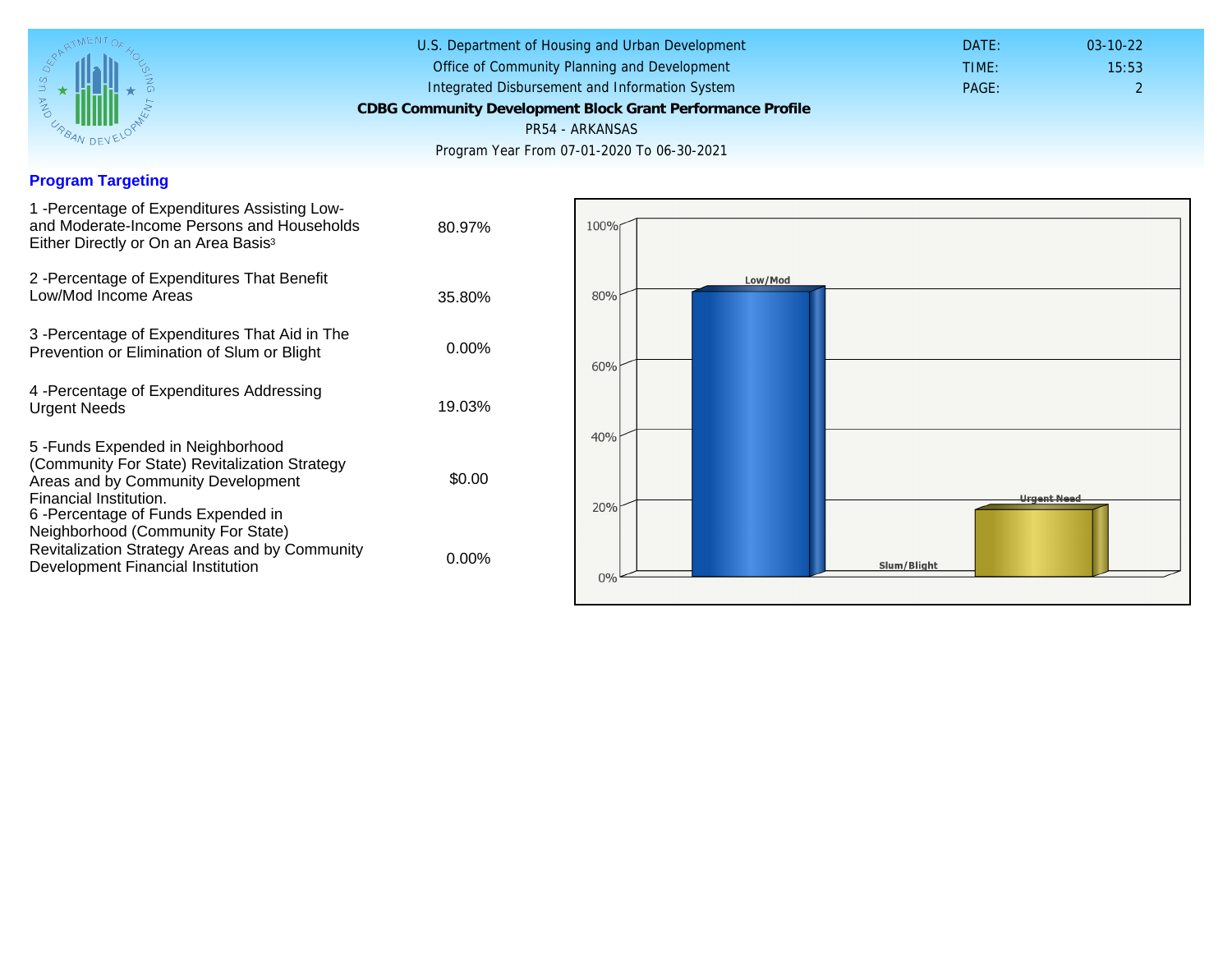## Program Targeting

| 1 - Percentage of Expenditures Assisting Low-<br>and Moderate-Income Persons and Households<br>Either Directly or On an Area Basis <sup>3</sup>                                                                                | 80.97%   |
|--------------------------------------------------------------------------------------------------------------------------------------------------------------------------------------------------------------------------------|----------|
| 2 - Percentage of Expenditures That Benefit<br>Low/Mod Income Areas                                                                                                                                                            | 35.80%   |
| 3 -Percentage of Expenditures That Aid in The<br>Prevention or Elimination of Slum or Blight                                                                                                                                   | $0.00\%$ |
| 4 - Percentage of Expenditures Addressing<br><b>Urgent Needs</b>                                                                                                                                                               | 19.03%   |
| 5 - Funds Expended in Neighborhood<br>(Community For State) Revitalization Strategy<br>Areas and by Community Development<br>Financial Institution.<br>6-Percentage of Funds Expended in<br>Neighborhood (Community For State) | \$0.00   |
| Revitalization Strategy Areas and by Community<br>Development Financial Institution                                                                                                                                            | 0.00%    |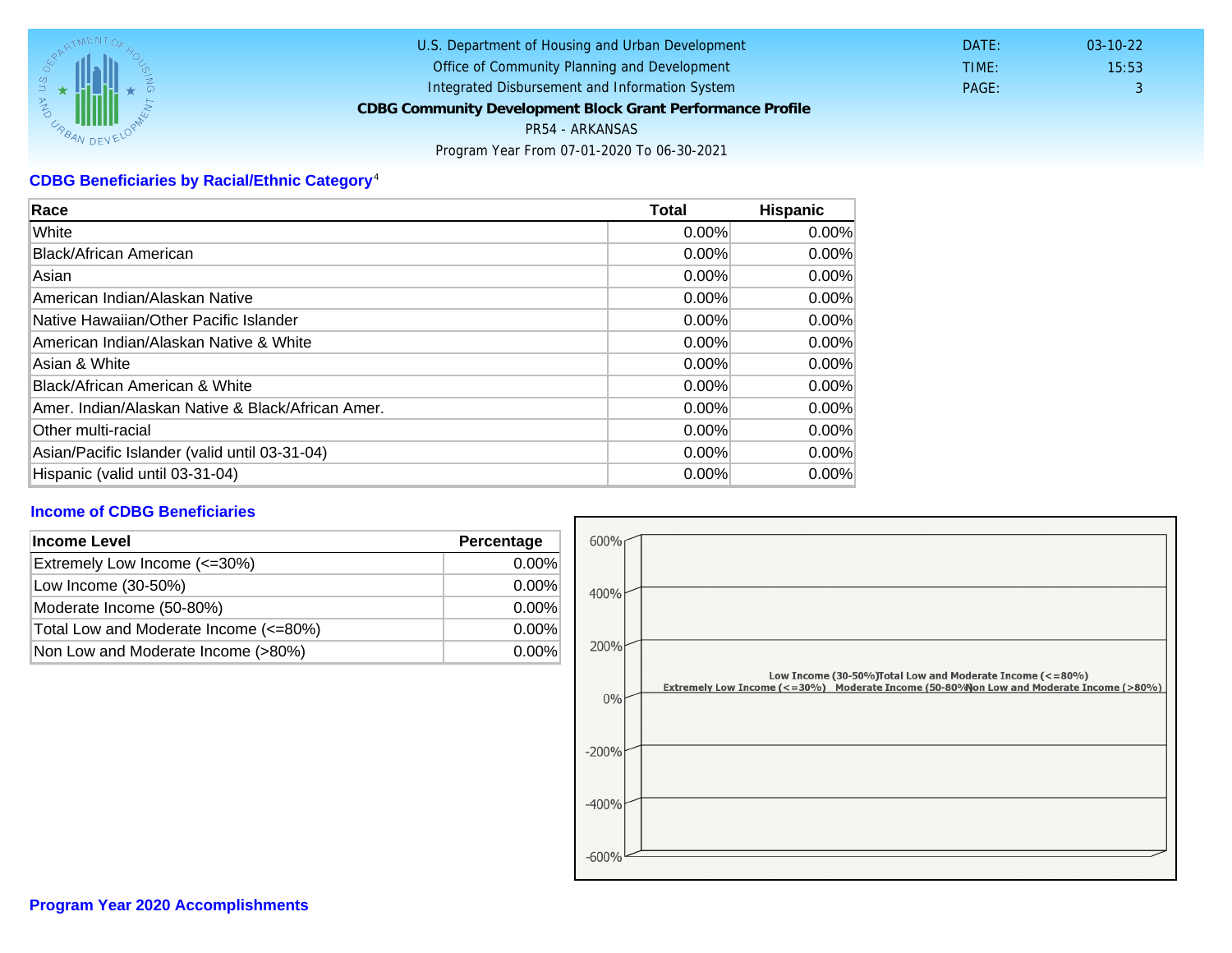## CDBG Beneficiaries by Racial/Ethnic Category <sup>4</sup>

| Race                                              | Total    | Hispanic |
|---------------------------------------------------|----------|----------|
| White                                             | $0.00\%$ | $0.00\%$ |
| Black/African American                            | 0.00%    | $0.00\%$ |
| Asian                                             | $0.00\%$ | $0.00\%$ |
| American Indian/Alaskan Native                    | 0.00%    | $0.00\%$ |
| Native Hawaiian/Other Pacific Islander            | $0.00\%$ | $0.00\%$ |
| American Indian/Alaskan Native & White            | $0.00\%$ | $0.00\%$ |
| Asian & White                                     | $0.00\%$ | $0.00\%$ |
| Black/African American & White                    | 0.00%    | 0.00%    |
| Amer. Indian/Alaskan Native & Black/African Amer. | $0.00\%$ | $0.00\%$ |
| <b>Other multi-racial</b>                         | $0.00\%$ | 0.00%    |
| Asian/Pacific Islander (valid until 03-31-04)     | $0.00\%$ | 0.00%    |
| Hispanic (valid until 03-31-04)                   | 0.00%    | 0.00%    |

## Income of CDBG Beneficiaries

| Income Level                          | Percentage |
|---------------------------------------|------------|
| Extremely Low Income (<=30%)          | $0.00\%$   |
| Low Income (30-50%)                   | $0.00\%$   |
| Moderate Income (50-80%)              | $0.00\%$   |
| Total Low and Moderate Income (<=80%) | $0.00\%$   |
| Non Low and Moderate Income (>80%)    | 0.00%      |